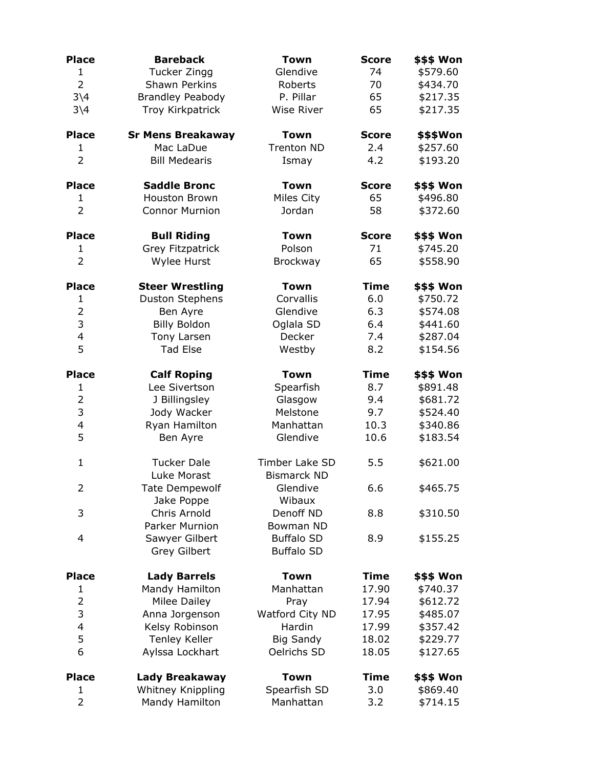| <b>Place</b>            | <b>Bareback</b>          | Town               | <b>Score</b> | <b>\$\$\$ Won</b> |
|-------------------------|--------------------------|--------------------|--------------|-------------------|
| $\mathbf 1$             | Tucker Zingg             | Glendive           | 74           | \$579.60          |
| $\overline{2}$          | Shawn Perkins            | Roberts            | 70           | \$434.70          |
| $3\backslash4$          | <b>Brandley Peabody</b>  | P. Pillar          | 65           | \$217.35          |
| $3\backslash4$          | Troy Kirkpatrick         | Wise River         | 65           | \$217.35          |
|                         |                          |                    |              |                   |
| <b>Place</b>            | <b>Sr Mens Breakaway</b> | <b>Town</b>        | <b>Score</b> | \$\$\$Won         |
| 1                       | Mac LaDue                | Trenton ND         | 2.4          | \$257.60          |
| $\overline{2}$          | <b>Bill Medearis</b>     | Ismay              | 4.2          | \$193.20          |
| <b>Place</b>            | <b>Saddle Bronc</b>      | <b>Town</b>        | <b>Score</b> | \$\$\$ Won        |
| 1                       | <b>Houston Brown</b>     | Miles City         | 65           | \$496.80          |
| $\overline{2}$          | <b>Connor Murnion</b>    | Jordan             | 58           | \$372.60          |
| <b>Place</b>            | <b>Bull Riding</b>       | <b>Town</b>        | <b>Score</b> | \$\$\$ Won        |
| $\mathbf{1}$            | Grey Fitzpatrick         | Polson             | 71           | \$745.20          |
| $\overline{2}$          | Wylee Hurst              | Brockway           | 65           | \$558.90          |
| <b>Place</b>            | <b>Steer Wrestling</b>   | <b>Town</b>        | <b>Time</b>  | \$\$\$ Won        |
| $\mathbf{1}$            | <b>Duston Stephens</b>   | Corvallis          | 6.0          | \$750.72          |
| $\overline{2}$          | Ben Ayre                 | Glendive           | 6.3          | \$574.08          |
| 3                       | <b>Billy Boldon</b>      | Oglala SD          | 6.4          | \$441.60          |
| $\overline{\mathbf{4}}$ | Tony Larsen              | Decker             | 7.4          | \$287.04          |
| 5                       | <b>Tad Else</b>          | Westby             | 8.2          | \$154.56          |
| <b>Place</b>            | <b>Calf Roping</b>       | <b>Town</b>        | <b>Time</b>  | \$\$\$ Won        |
| $\mathbf{1}$            | Lee Sivertson            | Spearfish          | 8.7          | \$891.48          |
| $\overline{2}$          | J Billingsley            | Glasgow            | 9.4          | \$681.72          |
| 3                       | Jody Wacker              | Melstone           | 9.7          | \$524.40          |
| 4                       | Ryan Hamilton            | Manhattan          | 10.3         | \$340.86          |
| 5                       | Ben Ayre                 | Glendive           | 10.6         | \$183.54          |
| $\mathbf{1}$            | <b>Tucker Dale</b>       | Timber Lake SD     | 5.5          | \$621.00          |
|                         | Luke Morast              | <b>Bismarck ND</b> |              |                   |
| 2                       | <b>Tate Dempewolf</b>    | Glendive           | 6.6          | \$465.75          |
|                         | Jake Poppe               | Wibaux             |              |                   |
| 3                       | Chris Arnold             | Denoff ND          | 8.8          | \$310.50          |
|                         | <b>Parker Murnion</b>    | Bowman ND          |              |                   |
| 4                       | Sawyer Gilbert           | <b>Buffalo SD</b>  | 8.9          | \$155.25          |
|                         | <b>Grey Gilbert</b>      | <b>Buffalo SD</b>  |              |                   |
| <b>Place</b>            | <b>Lady Barrels</b>      | <b>Town</b>        | <b>Time</b>  | \$\$\$ Won        |
| 1                       | Mandy Hamilton           | Manhattan          | 17.90        | \$740.37          |
| $\overline{2}$          | <b>Milee Dailey</b>      | Pray               | 17.94        | \$612.72          |
| 3                       | Anna Jorgenson           | Watford City ND    | 17.95        | \$485.07          |
| 4                       | Kelsy Robinson           | Hardin             | 17.99        | \$357.42          |
| 5                       | <b>Tenley Keller</b>     | <b>Big Sandy</b>   | 18.02        | \$229.77          |
| 6                       | Aylssa Lockhart          | Oelrichs SD        | 18.05        | \$127.65          |
| <b>Place</b>            | Lady Breakaway           | <b>Town</b>        | <b>Time</b>  | \$\$\$ Won        |
| 1                       | Whitney Knippling        | Spearfish SD       | 3.0          | \$869.40          |
| $\overline{2}$          | Mandy Hamilton           | Manhattan          | 3.2          | \$714.15          |